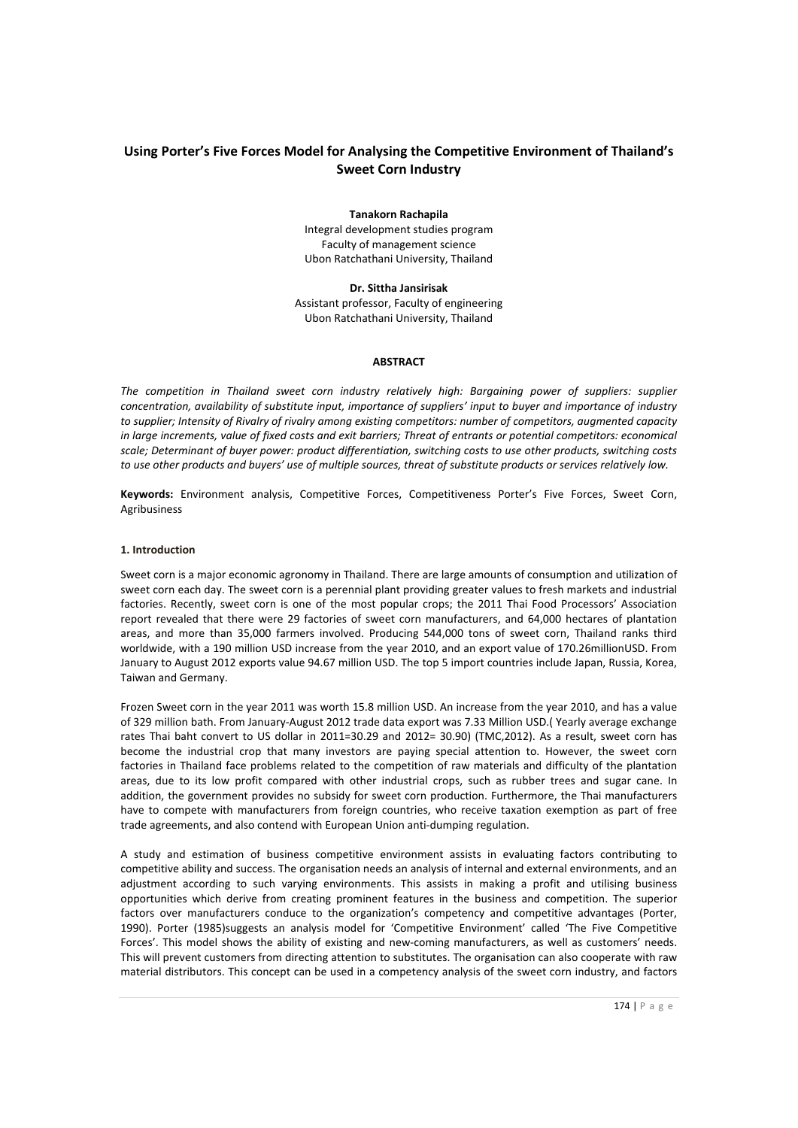# **Using Porter's Five Forces Model for Analysing the Competitive Environment of Thailand's Sweet Corn Industry**

#### **Tanakorn Rachapila**

Integral development studies program Faculty of management science Ubon Ratchathani University, Thailand

**Dr. Sittha Jansirisak**

Assistant professor, Faculty of engineering Ubon Ratchathani University, Thailand

#### **ABSTRACT**

*The competition in Thailand sweet corn industry relatively high: Bargaining power of suppliers: supplier concentration, availability of substitute input, importance of suppliers' input to buyer and importance of industry to supplier; Intensity of Rivalry of rivalry among existing competitors: number of competitors, augmented capacity in large increments, value of fixed costs and exit barriers; Threat of entrants or potential competitors: economical scale; Determinant of buyer power: product differentiation, switching costs to use other products, switching costs to use other products and buyers' use of multiple sources, threat of substitute products or services relatively low.*

**Keywords:** Environment analysis, Competitive Forces, Competitiveness Porter's Five Forces, Sweet Corn, Agribusiness

## **1. Introduction**

Sweet corn is a major economic agronomy in Thailand. There are large amounts of consumption and utilization of sweet corn each day. The sweet corn is a perennial plant providing greater values to fresh markets and industrial factories. Recently, sweet corn is one of the most popular crops; the 2011 Thai Food Processors' Association report revealed that there were 29 factories of sweet corn manufacturers, and 64,000 hectares of plantation areas, and more than 35,000 farmers involved. Producing 544,000 tons of sweet corn, Thailand ranks third worldwide, with a 190 million USD increase from the year 2010, and an export value of 170.26millionUSD. From January to August 2012 exports value 94.67 million USD. The top 5 import countries include Japan, Russia, Korea, Taiwan and Germany.

Frozen Sweet corn in the year 2011 was worth 15.8 million USD. An increase from the year 2010, and has a value of 329 million bath. From January-August 2012 trade data export was 7.33 Million USD.( Yearly average exchange rates Thai baht convert to US dollar in 2011=30.29 and 2012= 30.90) (TMC,2012). As a result, sweet corn has become the industrial crop that many investors are paying special attention to. However, the sweet corn factories in Thailand face problems related to the competition of raw materials and difficulty of the plantation areas, due to its low profit compared with other industrial crops, such as rubber trees and sugar cane. In addition, the government provides no subsidy for sweet corn production. Furthermore, the Thai manufacturers have to compete with manufacturers from foreign countries, who receive taxation exemption as part of free trade agreements, and also contend with European Union anti-dumping regulation.

A study and estimation of business competitive environment assists in evaluating factors contributing to competitive ability and success. The organisation needs an analysis of internal and external environments, and an adjustment according to such varying environments. This assists in making a profit and utilising business opportunities which derive from creating prominent features in the business and competition. The superior factors over manufacturers conduce to the organization's competency and competitive advantages (Porter, 1990). Porter (1985)suggests an analysis model for 'Competitive Environment' called 'The Five Competitive Forces'. This model shows the ability of existing and new-coming manufacturers, as well as customers' needs. This will prevent customers from directing attention to substitutes. The organisation can also cooperate with raw material distributors. This concept can be used in a competency analysis of the sweet corn industry, and factors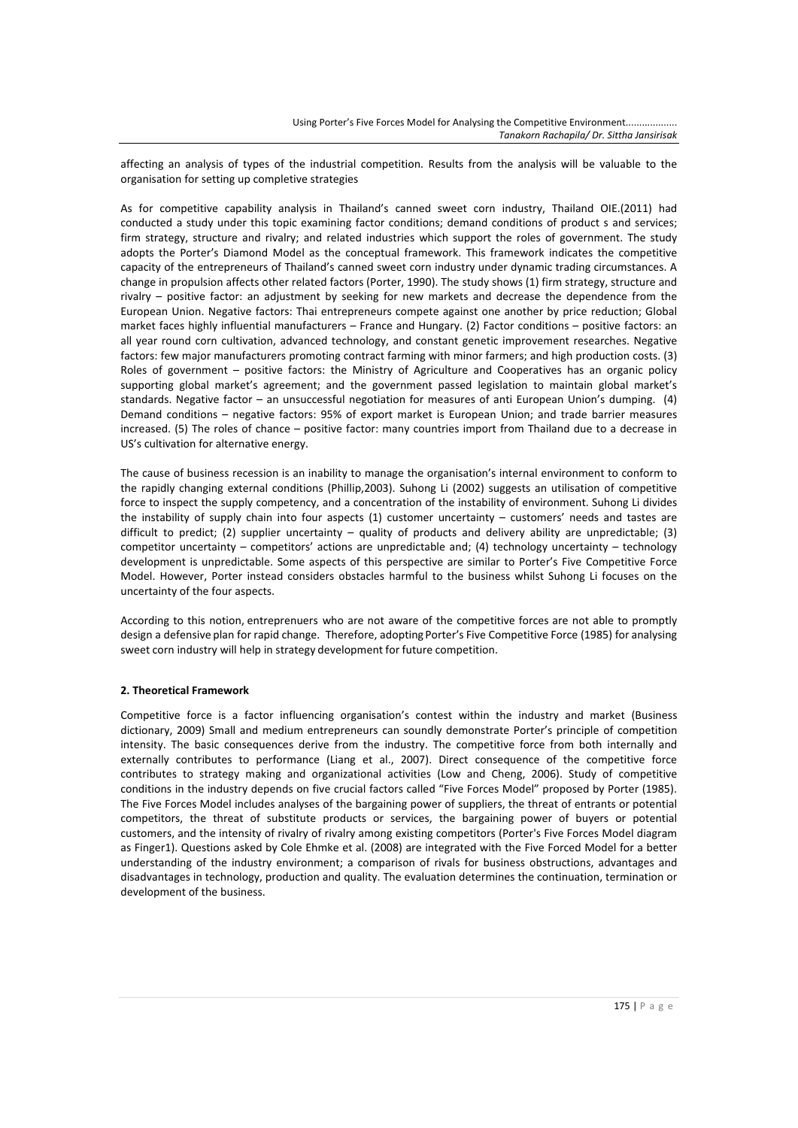affecting an analysis of types of the industrial competition. Results from the analysis will be valuable to the organisation for setting up completive strategies

As for competitive capability analysis in Thailand's canned sweet corn industry, Thailand OIE.(2011) had conducted a study under this topic examining factor conditions; demand conditions of product s and services; firm strategy, structure and rivalry; and related industries which support the roles of government. The study adopts the Porter's Diamond Model as the conceptual framework. This framework indicates the competitive capacity of the entrepreneurs of Thailand's canned sweet corn industry under dynamic trading circumstances. A change in propulsion affects other related factors (Porter, 1990). The study shows (1) firm strategy, structure and rivalry – positive factor: an adjustment by seeking for new markets and decrease the dependence from the European Union. Negative factors: Thai entrepreneurs compete against one another by price reduction; Global market faces highly influential manufacturers – France and Hungary. (2) Factor conditions – positive factors: an all year round corn cultivation, advanced technology, and constant genetic improvement researches. Negative factors: few major manufacturers promoting contract farming with minor farmers; and high production costs. (3) Roles of government – positive factors: the Ministry of Agriculture and Cooperatives has an organic policy supporting global market's agreement; and the government passed legislation to maintain global market's standards. Negative factor – an unsuccessful negotiation for measures of anti European Union's dumping. (4) Demand conditions – negative factors: 95% of export market is European Union; and trade barrier measures increased. (5) The roles of chance – positive factor: many countries import from Thailand due to a decrease in US's cultivation for alternative energy.

The cause of business recession is an inability to manage the organisation's internal environment to conform to the rapidly changing external conditions (Phillip,2003). Suhong Li (2002) suggests an utilisation of competitive force to inspect the supply competency, and a concentration of the instability of environment. Suhong Li divides the instability of supply chain into four aspects (1) customer uncertainty – customers' needs and tastes are difficult to predict; (2) supplier uncertainty – quality of products and delivery ability are unpredictable; (3) competitor uncertainty – competitors' actions are unpredictable and; (4) technology uncertainty – technology development is unpredictable. Some aspects of this perspective are similar to Porter's Five Competitive Force Model. However, Porter instead considers obstacles harmful to the business whilst Suhong Li focuses on the uncertainty of the four aspects.

According to this notion, entreprenuers who are not aware of the competitive forces are not able to promptly design a defensive plan for rapid change. Therefore, adopting Porter's Five Competitive Force (1985) for analysing sweet corn industry will help in strategy development for future competition.

### **2. Theoretical Framework**

Competitive force is a factor influencing organisation's contest within the industry and market (Business dictionary, 2009) Small and medium entrepreneurs can soundly demonstrate Porter's principle of competition intensity. The basic consequences derive from the industry. The competitive force from both internally and externally contributes to performance (Liang et al., 2007). Direct consequence of the competitive force contributes to strategy making and organizational activities (Low and Cheng, 2006). Study of competitive conditions in the industry depends on five crucial factors called "Five Forces Model" proposed by Porter (1985). The Five Forces Model includes analyses of the bargaining power of suppliers, the threat of entrants or potential competitors, the threat of substitute products or services, the bargaining power of buyers or potential customers, and the intensity of rivalry of rivalry among existing competitors (Porter's Five Forces Model diagram as Finger1). Questions asked by Cole Ehmke et al. (2008) are integrated with the Five Forced Model for a better understanding of the industry environment; a comparison of rivals for business obstructions, advantages and disadvantages in technology, production and quality. The evaluation determines the continuation, termination or development of the business.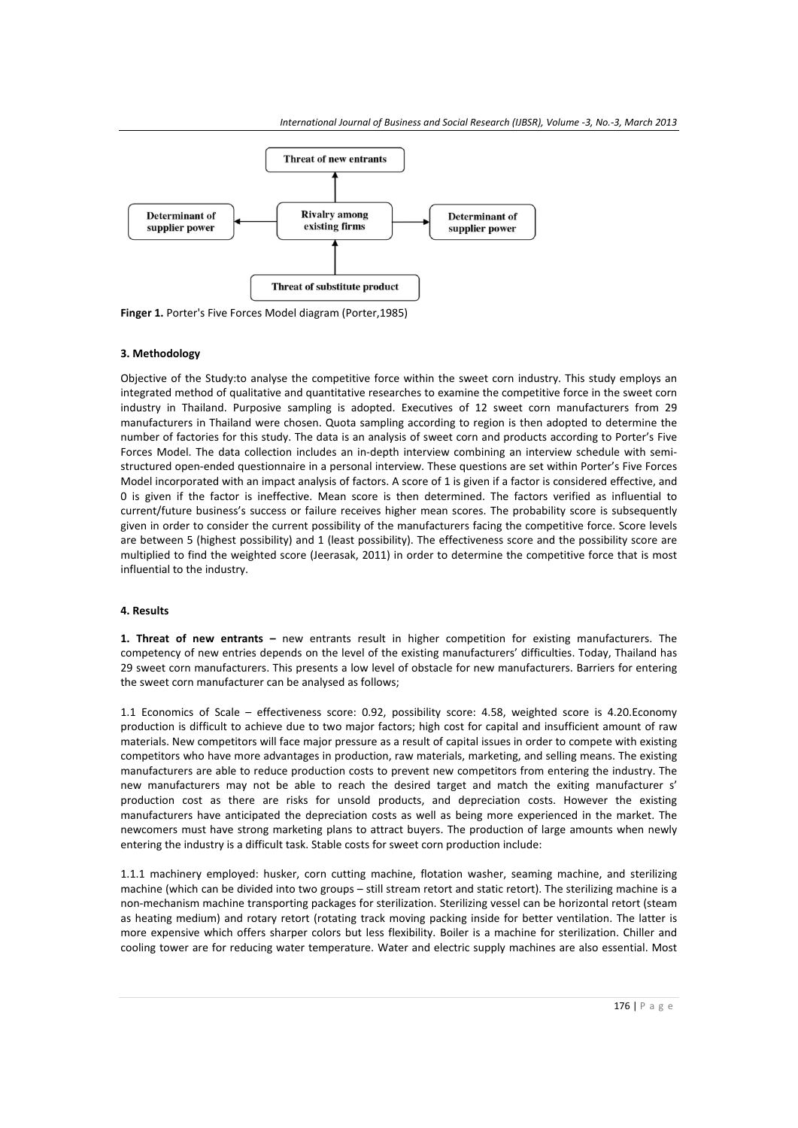

**Finger 1.** Porter's Five Forces Model diagram (Porter,1985)

#### **3. Methodology**

Objective of the Study:to analyse the competitive force within the sweet corn industry. This study employs an integrated method of qualitative and quantitative researches to examine the competitive force in the sweet corn industry in Thailand. Purposive sampling is adopted. Executives of 12 sweet corn manufacturers from 29 manufacturers in Thailand were chosen. Quota sampling according to region is then adopted to determine the number of factories for this study. The data is an analysis of sweet corn and products according to Porter's Five Forces Model. The data collection includes an in-depth interview combining an interview schedule with semistructured open-ended questionnaire in a personal interview. These questions are set within Porter's Five Forces Model incorporated with an impact analysis of factors. A score of 1 is given if a factor is considered effective, and 0 is given if the factor is ineffective. Mean score is then determined. The factors verified as influential to current/future business's success or failure receives higher mean scores. The probability score is subsequently given in order to consider the current possibility of the manufacturers facing the competitive force. Score levels are between 5 (highest possibility) and 1 (least possibility). The effectiveness score and the possibility score are multiplied to find the weighted score (Jeerasak, 2011) in order to determine the competitive force that is most influential to the industry.

#### **4. Results**

**1. Threat of new entrants –** new entrants result in higher competition for existing manufacturers. The competency of new entries depends on the level of the existing manufacturers' difficulties. Today, Thailand has 29 sweet corn manufacturers. This presents a low level of obstacle for new manufacturers. Barriers for entering the sweet corn manufacturer can be analysed as follows;

1.1 Economics of Scale – effectiveness score: 0.92, possibility score: 4.58, weighted score is 4.20.Economy production is difficult to achieve due to two major factors; high cost for capital and insufficient amount of raw materials. New competitors will face major pressure as a result of capital issues in order to compete with existing competitors who have more advantages in production, raw materials, marketing, and selling means. The existing manufacturers are able to reduce production costs to prevent new competitors from entering the industry. The new manufacturers may not be able to reach the desired target and match the exiting manufacturer s' production cost as there are risks for unsold products, and depreciation costs. However the existing manufacturers have anticipated the depreciation costs as well as being more experienced in the market. The newcomers must have strong marketing plans to attract buyers. The production of large amounts when newly entering the industry is a difficult task. Stable costs for sweet corn production include:

1.1.1 machinery employed: husker, corn cutting machine, flotation washer, seaming machine, and sterilizing machine (which can be divided into two groups – still stream retort and static retort). The sterilizing machine is a non-mechanism machine transporting packages for sterilization. Sterilizing vessel can be horizontal retort (steam as heating medium) and rotary retort (rotating track moving packing inside for better ventilation. The latter is more expensive which offers sharper colors but less flexibility. Boiler is a machine for sterilization. Chiller and cooling tower are for reducing water temperature. Water and electric supply machines are also essential. Most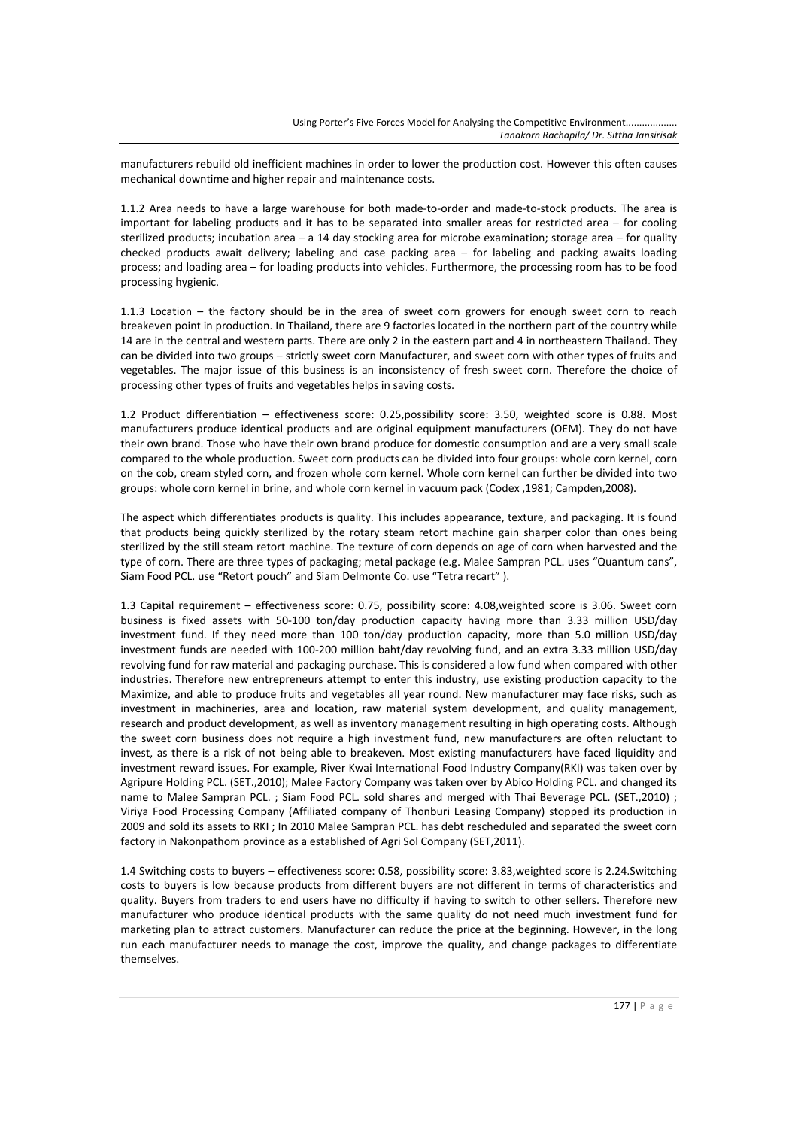manufacturers rebuild old inefficient machines in order to lower the production cost. However this often causes mechanical downtime and higher repair and maintenance costs.

1.1.2 Area needs to have a large warehouse for both made-to-order and made-to-stock products. The area is important for labeling products and it has to be separated into smaller areas for restricted area – for cooling sterilized products; incubation area – a 14 day stocking area for microbe examination; storage area – for quality checked products await delivery; labeling and case packing area – for labeling and packing awaits loading process; and loading area – for loading products into vehicles. Furthermore, the processing room has to be food processing hygienic.

1.1.3 Location – the factory should be in the area of sweet corn growers for enough sweet corn to reach breakeven point in production. In Thailand, there are 9 factories located in the northern part of the country while 14 are in the central and western parts. There are only 2 in the eastern part and 4 in northeastern Thailand. They can be divided into two groups – strictly sweet corn Manufacturer, and sweet corn with other types of fruits and vegetables. The major issue of this business is an inconsistency of fresh sweet corn. Therefore the choice of processing other types of fruits and vegetables helps in saving costs.

1.2 Product differentiation – effectiveness score: 0.25,possibility score: 3.50, weighted score is 0.88. Most manufacturers produce identical products and are original equipment manufacturers (OEM). They do not have their own brand. Those who have their own brand produce for domestic consumption and are a very small scale compared to the whole production. Sweet corn products can be divided into four groups: whole corn kernel, corn on the cob, cream styled corn, and frozen whole corn kernel. Whole corn kernel can further be divided into two groups: whole corn kernel in brine, and whole corn kernel in vacuum pack (Codex ,1981; Campden,2008).

The aspect which differentiates products is quality. This includes appearance, texture, and packaging. It is found that products being quickly sterilized by the rotary steam retort machine gain sharper color than ones being sterilized by the still steam retort machine. The texture of corn depends on age of corn when harvested and the type of corn. There are three types of packaging; metal package (e.g. Malee Sampran PCL. uses "Quantum cans", Siam Food PCL. use "Retort pouch" and Siam Delmonte Co. use "Tetra recart" ).

1.3 Capital requirement – effectiveness score: 0.75, possibility score: 4.08,weighted score is 3.06. Sweet corn business is fixed assets with 50-100 ton/day production capacity having more than 3.33 million USD/day investment fund. If they need more than 100 ton/day production capacity, more than 5.0 million USD/day investment funds are needed with 100-200 million baht/day revolving fund, and an extra 3.33 million USD/day revolving fund for raw material and packaging purchase. This is considered a low fund when compared with other industries. Therefore new entrepreneurs attempt to enter this industry, use existing production capacity to the Maximize, and able to produce fruits and vegetables all year round. New manufacturer may face risks, such as investment in machineries, area and location, raw material system development, and quality management, research and product development, as well as inventory management resulting in high operating costs. Although the sweet corn business does not require a high investment fund, new manufacturers are often reluctant to invest, as there is a risk of not being able to breakeven. Most existing manufacturers have faced liquidity and investment reward issues. For example, River Kwai International Food Industry Company(RKI) was taken over by Agripure Holding PCL. (SET.,2010); Malee Factory Company was taken over by Abico Holding PCL. and changed its name to Malee Sampran PCL. ; Siam Food PCL. sold shares and merged with Thai Beverage PCL. (SET., 2010) ; Viriya Food Processing Company (Affiliated company of Thonburi Leasing Company) stopped its production in 2009 and sold its assets to RKI ; In 2010 Malee Sampran PCL. has debt rescheduled and separated the sweet corn factory in Nakonpathom province as a established of Agri Sol Company (SET,2011).

1.4 Switching costs to buyers – effectiveness score: 0.58, possibility score: 3.83,weighted score is 2.24.Switching costs to buyers is low because products from different buyers are not different in terms of characteristics and quality. Buyers from traders to end users have no difficulty if having to switch to other sellers. Therefore new manufacturer who produce identical products with the same quality do not need much investment fund for marketing plan to attract customers. Manufacturer can reduce the price at the beginning. However, in the long run each manufacturer needs to manage the cost, improve the quality, and change packages to differentiate themselves.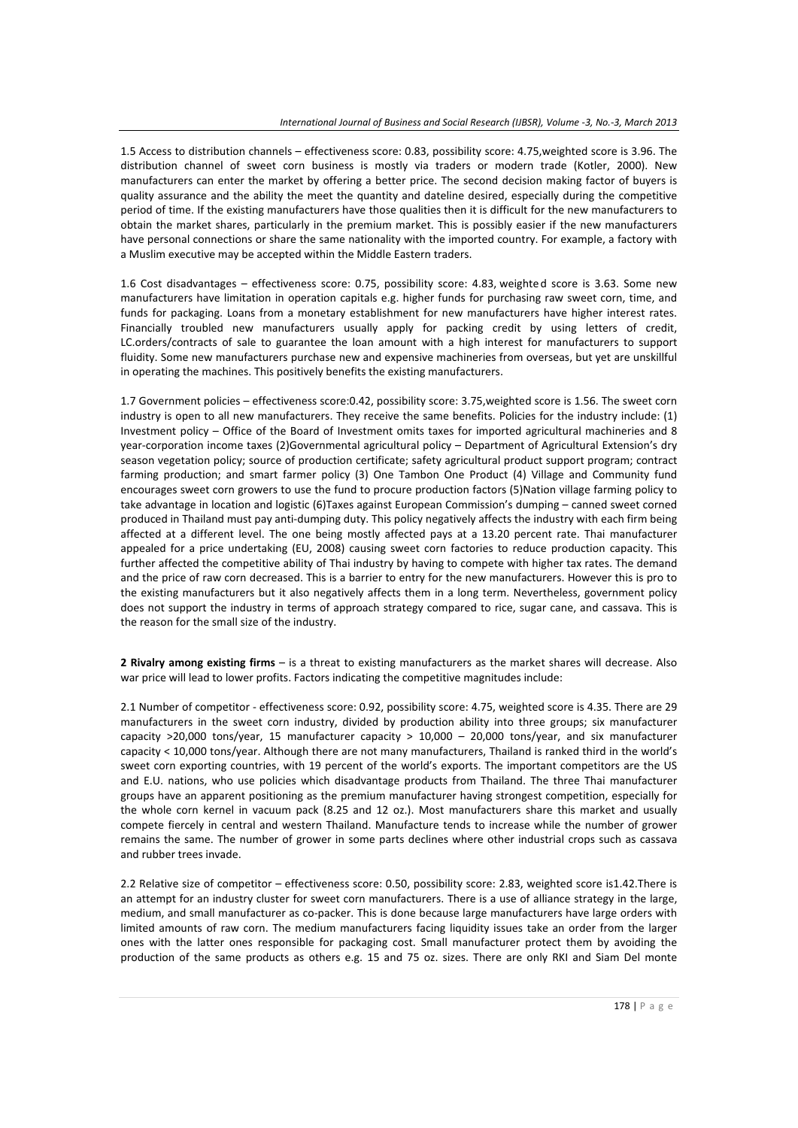1.5 Access to distribution channels – effectiveness score: 0.83, possibility score: 4.75,weighted score is 3.96. The distribution channel of sweet corn business is mostly via traders or modern trade (Kotler, 2000). New manufacturers can enter the market by offering a better price. The second decision making factor of buyers is quality assurance and the ability the meet the quantity and dateline desired, especially during the competitive period of time. If the existing manufacturers have those qualities then it is difficult for the new manufacturers to obtain the market shares, particularly in the premium market. This is possibly easier if the new manufacturers have personal connections or share the same nationality with the imported country. For example, a factory with a Muslim executive may be accepted within the Middle Eastern traders.

1.6 Cost disadvantages – effectiveness score: 0.75, possibility score: 4.83, weighte d score is 3.63. Some new manufacturers have limitation in operation capitals e.g. higher funds for purchasing raw sweet corn, time, and funds for packaging. Loans from a monetary establishment for new manufacturers have higher interest rates. Financially troubled new manufacturers usually apply for packing credit by using letters of credit, LC.orders/contracts of sale to guarantee the loan amount with a high interest for manufacturers to support fluidity. Some new manufacturers purchase new and expensive machineries from overseas, but yet are unskillful in operating the machines. This positively benefits the existing manufacturers.

1.7 Government policies – effectiveness score:0.42, possibility score: 3.75,weighted score is 1.56. The sweet corn industry is open to all new manufacturers. They receive the same benefits. Policies for the industry include: (1) Investment policy – Office of the Board of Investment omits taxes for imported agricultural machineries and 8 year-corporation income taxes (2)Governmental agricultural policy – Department of Agricultural Extension's dry season vegetation policy; source of production certificate; safety agricultural product support program; contract farming production; and smart farmer policy (3) One Tambon One Product (4) Village and Community fund encourages sweet corn growers to use the fund to procure production factors (5)Nation village farming policy to take advantage in location and logistic (6)Taxes against European Commission's dumping – canned sweet corned produced in Thailand must pay anti-dumping duty. This policy negatively affects the industry with each firm being affected at a different level. The one being mostly affected pays at a 13.20 percent rate. Thai manufacturer appealed for a price undertaking (EU, 2008) causing sweet corn factories to reduce production capacity. This further affected the competitive ability of Thai industry by having to compete with higher tax rates. The demand and the price of raw corn decreased. This is a barrier to entry for the new manufacturers. However this is pro to the existing manufacturers but it also negatively affects them in a long term. Nevertheless, government policy does not support the industry in terms of approach strategy compared to rice, sugar cane, and cassava. This is the reason for the small size of the industry.

**2 Rivalry among existing firms** – is a threat to existing manufacturers as the market shares will decrease. Also war price will lead to lower profits. Factors indicating the competitive magnitudes include:

2.1 Number of competitor - effectiveness score: 0.92, possibility score: 4.75, weighted score is 4.35. There are 29 manufacturers in the sweet corn industry, divided by production ability into three groups; six manufacturer capacity >20,000 tons/year, 15 manufacturer capacity > 10,000 – 20,000 tons/year, and six manufacturer capacity < 10,000 tons/year. Although there are not many manufacturers, Thailand is ranked third in the world's sweet corn exporting countries, with 19 percent of the world's exports. The important competitors are the US and E.U. nations, who use policies which disadvantage products from Thailand. The three Thai manufacturer groups have an apparent positioning as the premium manufacturer having strongest competition, especially for the whole corn kernel in vacuum pack (8.25 and 12 oz.). Most manufacturers share this market and usually compete fiercely in central and western Thailand. Manufacture tends to increase while the number of grower remains the same. The number of grower in some parts declines where other industrial crops such as cassava and rubber trees invade.

2.2 Relative size of competitor – effectiveness score: 0.50, possibility score: 2.83, weighted score is1.42.There is an attempt for an industry cluster for sweet corn manufacturers. There is a use of alliance strategy in the large, medium, and small manufacturer as co-packer. This is done because large manufacturers have large orders with limited amounts of raw corn. The medium manufacturers facing liquidity issues take an order from the larger ones with the latter ones responsible for packaging cost. Small manufacturer protect them by avoiding the production of the same products as others e.g. 15 and 75 oz. sizes. There are only RKI and Siam Del monte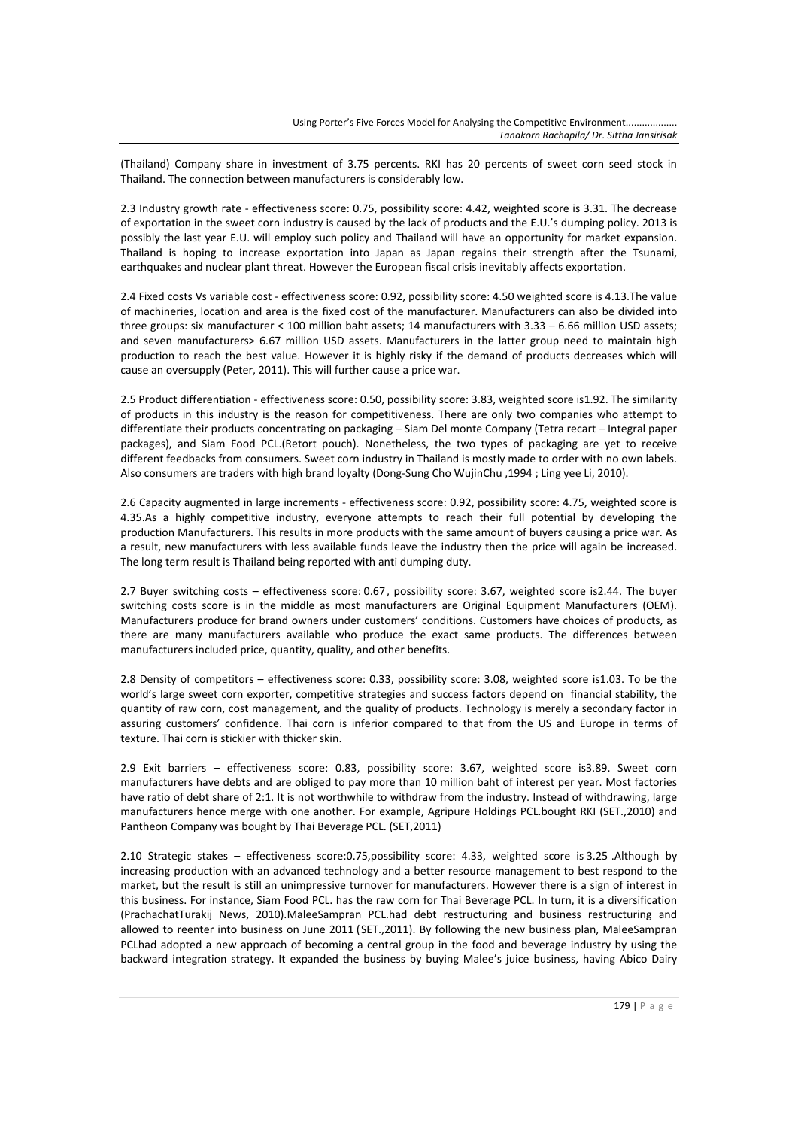(Thailand) Company share in investment of 3.75 percents. RKI has 20 percents of sweet corn seed stock in Thailand. The connection between manufacturers is considerably low.

2.3 Industry growth rate - effectiveness score: 0.75, possibility score: 4.42, weighted score is 3.31. The decrease of exportation in the sweet corn industry is caused by the lack of products and the E.U.'s dumping policy. 2013 is possibly the last year E.U. will employ such policy and Thailand will have an opportunity for market expansion. Thailand is hoping to increase exportation into Japan as Japan regains their strength after the Tsunami, earthquakes and nuclear plant threat. However the European fiscal crisis inevitably affects exportation.

2.4 Fixed costs Vs variable cost - effectiveness score: 0.92, possibility score: 4.50 weighted score is 4.13.The value of machineries, location and area is the fixed cost of the manufacturer. Manufacturers can also be divided into three groups: six manufacturer < 100 million baht assets; 14 manufacturers with 3.33 – 6.66 million USD assets; and seven manufacturers> 6.67 million USD assets. Manufacturers in the latter group need to maintain high production to reach the best value. However it is highly risky if the demand of products decreases which will cause an oversupply (Peter, 2011). This will further cause a price war.

2.5 Product differentiation - effectiveness score: 0.50, possibility score: 3.83, weighted score is1.92. The similarity of products in this industry is the reason for competitiveness. There are only two companies who attempt to differentiate their products concentrating on packaging – Siam Del monte Company (Tetra recart – Integral paper packages), and Siam Food PCL.(Retort pouch). Nonetheless, the two types of packaging are yet to receive different feedbacks from consumers. Sweet corn industry in Thailand is mostly made to order with no own labels. Also consumers are traders with high brand loyalty (Dong-Sung Cho WujinChu ,1994 ; Ling yee Li, 2010).

2.6 Capacity augmented in large increments - effectiveness score: 0.92, possibility score: 4.75, weighted score is 4.35.As a highly competitive industry, everyone attempts to reach their full potential by developing the production Manufacturers. This results in more products with the same amount of buyers causing a price war. As a result, new manufacturers with less available funds leave the industry then the price will again be increased. The long term result is Thailand being reported with anti dumping duty.

2.7 Buyer switching costs – effectiveness score: 0.67, possibility score: 3.67, weighted score is2.44. The buyer switching costs score is in the middle as most manufacturers are Original Equipment Manufacturers (OEM). Manufacturers produce for brand owners under customers' conditions. Customers have choices of products, as there are many manufacturers available who produce the exact same products. The differences between manufacturers included price, quantity, quality, and other benefits.

2.8 Density of competitors – effectiveness score: 0.33, possibility score: 3.08, weighted score is1.03. To be the world's large sweet corn exporter, competitive strategies and success factors depend on financial stability, the quantity of raw corn, cost management, and the quality of products. Technology is merely a secondary factor in assuring customers' confidence. Thai corn is inferior compared to that from the US and Europe in terms of texture. Thai corn is stickier with thicker skin.

2.9 Exit barriers – effectiveness score: 0.83, possibility score: 3.67, weighted score is3.89. Sweet corn manufacturers have debts and are obliged to pay more than 10 million baht of interest per year. Most factories have ratio of debt share of 2:1. It is not worthwhile to withdraw from the industry. Instead of withdrawing, large manufacturers hence merge with one another. For example, Agripure Holdings PCL.bought RKI (SET.,2010) and Pantheon Company was bought by Thai Beverage PCL. (SET,2011)

2.10 Strategic stakes – effectiveness score:0.75,possibility score: 4.33, weighted score is 3.25 .Although by increasing production with an advanced technology and a better resource management to best respond to the market, but the result is still an unimpressive turnover for manufacturers. However there is a sign of interest in this business. For instance, Siam Food PCL. has the raw corn for Thai Beverage PCL. In turn, it is a diversification (PrachachatTurakij News, 2010).MaleeSampran PCL.had debt restructuring and business restructuring and allowed to reenter into business on June 2011 (SET.,2011). By following the new business plan, MaleeSampran PCLhad adopted a new approach of becoming a central group in the food and beverage industry by using the backward integration strategy. It expanded the business by buying Malee's juice business, having Abico Dairy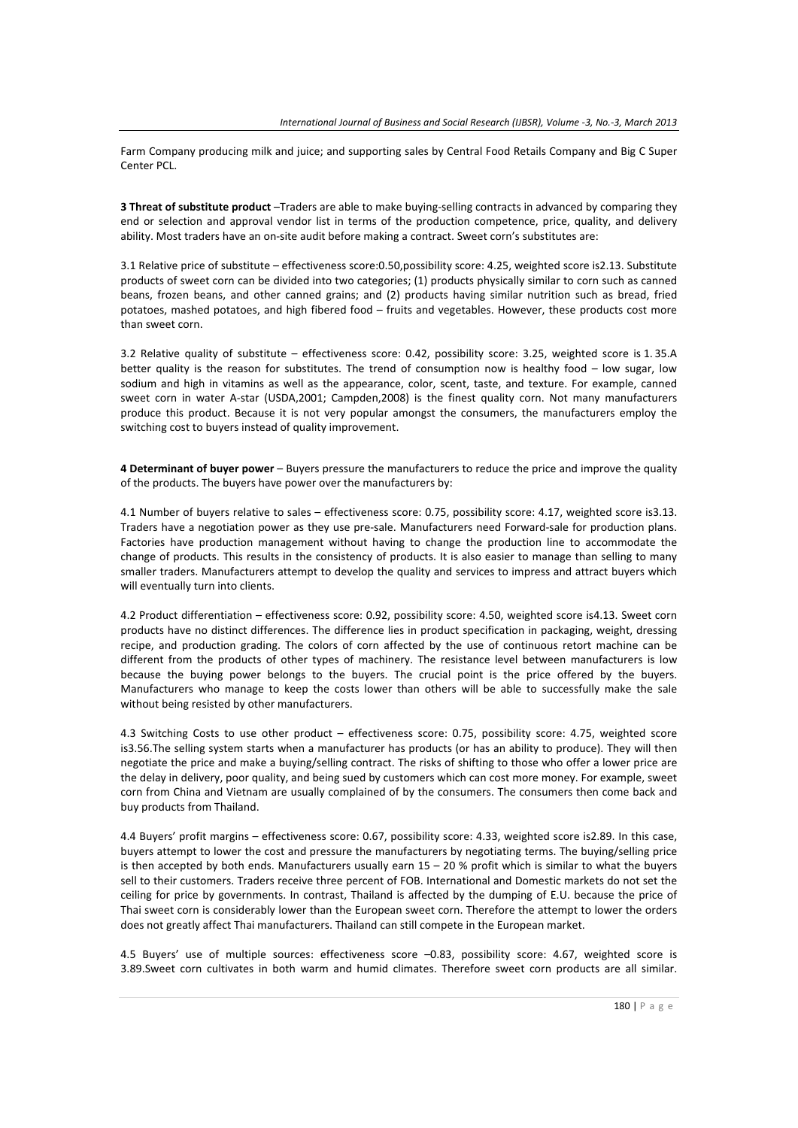Farm Company producing milk and juice; and supporting sales by Central Food Retails Company and Big C Super Center PCL.

**3 Threat of substitute product** –Traders are able to make buying-selling contracts in advanced by comparing they end or selection and approval vendor list in terms of the production competence, price, quality, and delivery ability. Most traders have an on-site audit before making a contract. Sweet corn's substitutes are:

3.1 Relative price of substitute – effectiveness score:0.50,possibility score: 4.25, weighted score is2.13. Substitute products of sweet corn can be divided into two categories; (1) products physically similar to corn such as canned beans, frozen beans, and other canned grains; and (2) products having similar nutrition such as bread, fried potatoes, mashed potatoes, and high fibered food – fruits and vegetables. However, these products cost more than sweet corn.

3.2 Relative quality of substitute – effectiveness score: 0.42, possibility score: 3.25, weighted score is 1. 35.A better quality is the reason for substitutes. The trend of consumption now is healthy food – low sugar, low sodium and high in vitamins as well as the appearance, color, scent, taste, and texture. For example, canned sweet corn in water A-star (USDA,2001; Campden,2008) is the finest quality corn. Not many manufacturers produce this product. Because it is not very popular amongst the consumers, the manufacturers employ the switching cost to buyers instead of quality improvement.

**4 Determinant of buyer power** – Buyers pressure the manufacturers to reduce the price and improve the quality of the products. The buyers have power over the manufacturers by:

4.1 Number of buyers relative to sales – effectiveness score: 0.75, possibility score: 4.17, weighted score is3.13. Traders have a negotiation power as they use pre-sale. Manufacturers need Forward-sale for production plans. Factories have production management without having to change the production line to accommodate the change of products. This results in the consistency of products. It is also easier to manage than selling to many smaller traders. Manufacturers attempt to develop the quality and services to impress and attract buyers which will eventually turn into clients.

4.2 Product differentiation – effectiveness score: 0.92, possibility score: 4.50, weighted score is4.13. Sweet corn products have no distinct differences. The difference lies in product specification in packaging, weight, dressing recipe, and production grading. The colors of corn affected by the use of continuous retort machine can be different from the products of other types of machinery. The resistance level between manufacturers is low because the buying power belongs to the buyers. The crucial point is the price offered by the buyers. Manufacturers who manage to keep the costs lower than others will be able to successfully make the sale without being resisted by other manufacturers.

4.3 Switching Costs to use other product – effectiveness score: 0.75, possibility score: 4.75, weighted score is3.56.The selling system starts when a manufacturer has products (or has an ability to produce). They will then negotiate the price and make a buying/selling contract. The risks of shifting to those who offer a lower price are the delay in delivery, poor quality, and being sued by customers which can cost more money. For example, sweet corn from China and Vietnam are usually complained of by the consumers. The consumers then come back and buy products from Thailand.

4.4 Buyers' profit margins – effectiveness score: 0.67, possibility score: 4.33, weighted score is2.89. In this case, buyers attempt to lower the cost and pressure the manufacturers by negotiating terms. The buying/selling price is then accepted by both ends. Manufacturers usually earn  $15 - 20$  % profit which is similar to what the buyers sell to their customers. Traders receive three percent of FOB. International and Domestic markets do not set the ceiling for price by governments. In contrast, Thailand is affected by the dumping of E.U. because the price of Thai sweet corn is considerably lower than the European sweet corn. Therefore the attempt to lower the orders does not greatly affect Thai manufacturers. Thailand can still compete in the European market.

4.5 Buyers' use of multiple sources: effectiveness score –0.83, possibility score: 4.67, weighted score is 3.89.Sweet corn cultivates in both warm and humid climates. Therefore sweet corn products are all similar.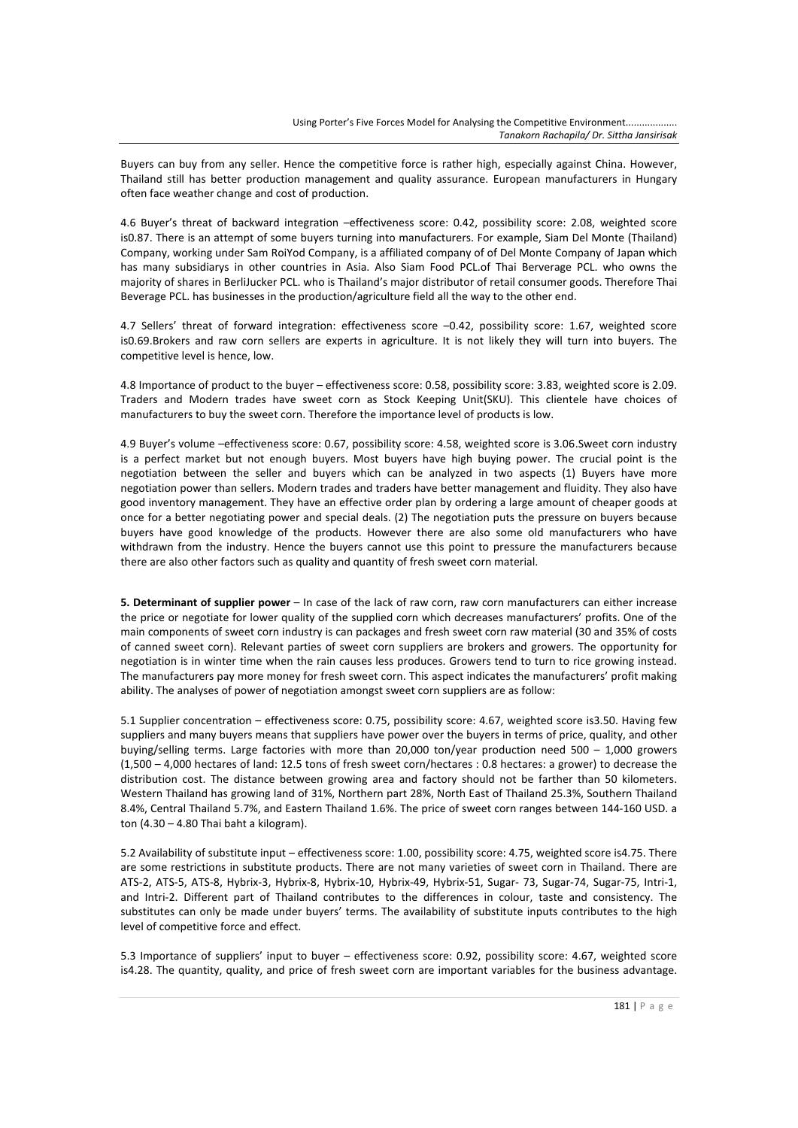Buyers can buy from any seller. Hence the competitive force is rather high, especially against China. However, Thailand still has better production management and quality assurance. European manufacturers in Hungary often face weather change and cost of production.

4.6 Buyer's threat of backward integration –effectiveness score: 0.42, possibility score: 2.08, weighted score is0.87. There is an attempt of some buyers turning into manufacturers. For example, Siam Del Monte (Thailand) Company, working under Sam RoiYod Company, is a affiliated company of of Del Monte Company of Japan which has many subsidiarys in other countries in Asia. Also Siam Food PCL.of Thai Berverage PCL. who owns the majority of shares in BerliJucker PCL. who is Thailand's major distributor of retail consumer goods. Therefore Thai Beverage PCL. has businesses in the production/agriculture field all the way to the other end.

4.7 Sellers' threat of forward integration: effectiveness score –0.42, possibility score: 1.67, weighted score is0.69.Brokers and raw corn sellers are experts in agriculture. It is not likely they will turn into buyers. The competitive level is hence, low.

4.8 Importance of product to the buyer – effectiveness score: 0.58, possibility score: 3.83, weighted score is 2.09. Traders and Modern trades have sweet corn as Stock Keeping Unit(SKU). This clientele have choices of manufacturers to buy the sweet corn. Therefore the importance level of products is low.

4.9 Buyer's volume –effectiveness score: 0.67, possibility score: 4.58, weighted score is 3.06.Sweet corn industry is a perfect market but not enough buyers. Most buyers have high buying power. The crucial point is the negotiation between the seller and buyers which can be analyzed in two aspects (1) Buyers have more negotiation power than sellers. Modern trades and traders have better management and fluidity. They also have good inventory management. They have an effective order plan by ordering a large amount of cheaper goods at once for a better negotiating power and special deals. (2) The negotiation puts the pressure on buyers because buyers have good knowledge of the products. However there are also some old manufacturers who have withdrawn from the industry. Hence the buyers cannot use this point to pressure the manufacturers because there are also other factors such as quality and quantity of fresh sweet corn material.

**5. Determinant of supplier power** – In case of the lack of raw corn, raw corn manufacturers can either increase the price or negotiate for lower quality of the supplied corn which decreases manufacturers' profits. One of the main components of sweet corn industry is can packages and fresh sweet corn raw material (30 and 35% of costs of canned sweet corn). Relevant parties of sweet corn suppliers are brokers and growers. The opportunity for negotiation is in winter time when the rain causes less produces. Growers tend to turn to rice growing instead. The manufacturers pay more money for fresh sweet corn. This aspect indicates the manufacturers' profit making ability. The analyses of power of negotiation amongst sweet corn suppliers are as follow:

5.1 Supplier concentration – effectiveness score: 0.75, possibility score: 4.67, weighted score is3.50. Having few suppliers and many buyers means that suppliers have power over the buyers in terms of price, quality, and other buying/selling terms. Large factories with more than 20,000 ton/year production need 500 – 1,000 growers (1,500 – 4,000 hectares of land: 12.5 tons of fresh sweet corn/hectares : 0.8 hectares: a grower) to decrease the distribution cost. The distance between growing area and factory should not be farther than 50 kilometers. Western Thailand has growing land of 31%, Northern part 28%, North East of Thailand 25.3%, Southern Thailand 8.4%, Central Thailand 5.7%, and Eastern Thailand 1.6%. The price of sweet corn ranges between 144-160 USD. a ton (4.30 – 4.80 Thai baht a kilogram).

5.2 Availability of substitute input – effectiveness score: 1.00, possibility score: 4.75, weighted score is4.75. There are some restrictions in substitute products. There are not many varieties of sweet corn in Thailand. There are ATS-2, ATS-5, ATS-8, Hybrix-3, Hybrix-8, Hybrix-10, Hybrix-49, Hybrix-51, Sugar- 73, Sugar-74, Sugar-75, Intri-1, and Intri-2. Different part of Thailand contributes to the differences in colour, taste and consistency. The substitutes can only be made under buyers' terms. The availability of substitute inputs contributes to the high level of competitive force and effect.

5.3 Importance of suppliers' input to buyer – effectiveness score: 0.92, possibility score: 4.67, weighted score is4.28. The quantity, quality, and price of fresh sweet corn are important variables for the business advantage.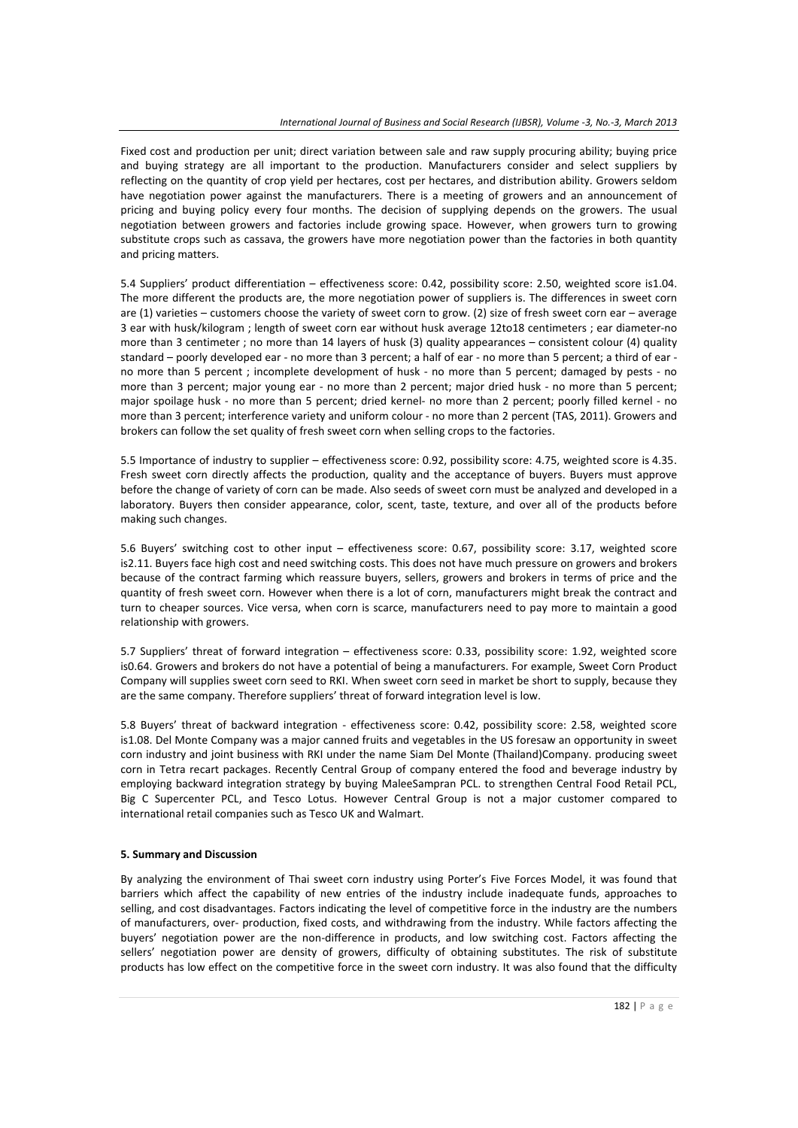Fixed cost and production per unit; direct variation between sale and raw supply procuring ability; buying price and buying strategy are all important to the production. Manufacturers consider and select suppliers by reflecting on the quantity of crop yield per hectares, cost per hectares, and distribution ability. Growers seldom have negotiation power against the manufacturers. There is a meeting of growers and an announcement of pricing and buying policy every four months. The decision of supplying depends on the growers. The usual negotiation between growers and factories include growing space. However, when growers turn to growing substitute crops such as cassava, the growers have more negotiation power than the factories in both quantity and pricing matters.

5.4 Suppliers' product differentiation – effectiveness score: 0.42, possibility score: 2.50, weighted score is1.04. The more different the products are, the more negotiation power of suppliers is. The differences in sweet corn are (1) varieties – customers choose the variety of sweet corn to grow. (2) size of fresh sweet corn ear – average 3 ear with husk/kilogram ; length of sweet corn ear without husk average 12to18 centimeters ; ear diameter-no more than 3 centimeter ; no more than 14 layers of husk (3) quality appearances – consistent colour (4) quality standard – poorly developed ear - no more than 3 percent; a half of ear - no more than 5 percent; a third of ear no more than 5 percent ; incomplete development of husk - no more than 5 percent; damaged by pests - no more than 3 percent; major young ear - no more than 2 percent; major dried husk - no more than 5 percent; major spoilage husk - no more than 5 percent; dried kernel- no more than 2 percent; poorly filled kernel - no more than 3 percent; interference variety and uniform colour - no more than 2 percent (TAS, 2011). Growers and brokers can follow the set quality of fresh sweet corn when selling crops to the factories.

5.5 Importance of industry to supplier – effectiveness score: 0.92, possibility score: 4.75, weighted score is 4.35. Fresh sweet corn directly affects the production, quality and the acceptance of buyers. Buyers must approve before the change of variety of corn can be made. Also seeds of sweet corn must be analyzed and developed in a laboratory. Buyers then consider appearance, color, scent, taste, texture, and over all of the products before making such changes.

5.6 Buyers' switching cost to other input – effectiveness score: 0.67, possibility score: 3.17, weighted score is2.11. Buyers face high cost and need switching costs. This does not have much pressure on growers and brokers because of the contract farming which reassure buyers, sellers, growers and brokers in terms of price and the quantity of fresh sweet corn. However when there is a lot of corn, manufacturers might break the contract and turn to cheaper sources. Vice versa, when corn is scarce, manufacturers need to pay more to maintain a good relationship with growers.

5.7 Suppliers' threat of forward integration – effectiveness score: 0.33, possibility score: 1.92, weighted score is0.64. Growers and brokers do not have a potential of being a manufacturers. For example, Sweet Corn Product Company will supplies sweet corn seed to RKI. When sweet corn seed in market be short to supply, because they are the same company. Therefore suppliers' threat of forward integration level is low.

5.8 Buyers' threat of backward integration - effectiveness score: 0.42, possibility score: 2.58, weighted score is1.08. Del Monte Company was a major canned fruits and vegetables in the US foresaw an opportunity in sweet corn industry and joint business with RKI under the name Siam Del Monte (Thailand)Company. producing sweet corn in Tetra recart packages. Recently Central Group of company entered the food and beverage industry by employing backward integration strategy by buying MaleeSampran PCL. to strengthen Central Food Retail PCL, Big C Supercenter PCL, and Tesco Lotus. However Central Group is not a major customer compared to international retail companies such as Tesco UK and Walmart.

### **5. Summary and Discussion**

By analyzing the environment of Thai sweet corn industry using Porter's Five Forces Model, it was found that barriers which affect the capability of new entries of the industry include inadequate funds, approaches to selling, and cost disadvantages. Factors indicating the level of competitive force in the industry are the numbers of manufacturers, over- production, fixed costs, and withdrawing from the industry. While factors affecting the buyers' negotiation power are the non-difference in products, and low switching cost. Factors affecting the sellers' negotiation power are density of growers, difficulty of obtaining substitutes. The risk of substitute products has low effect on the competitive force in the sweet corn industry. It was also found that the difficulty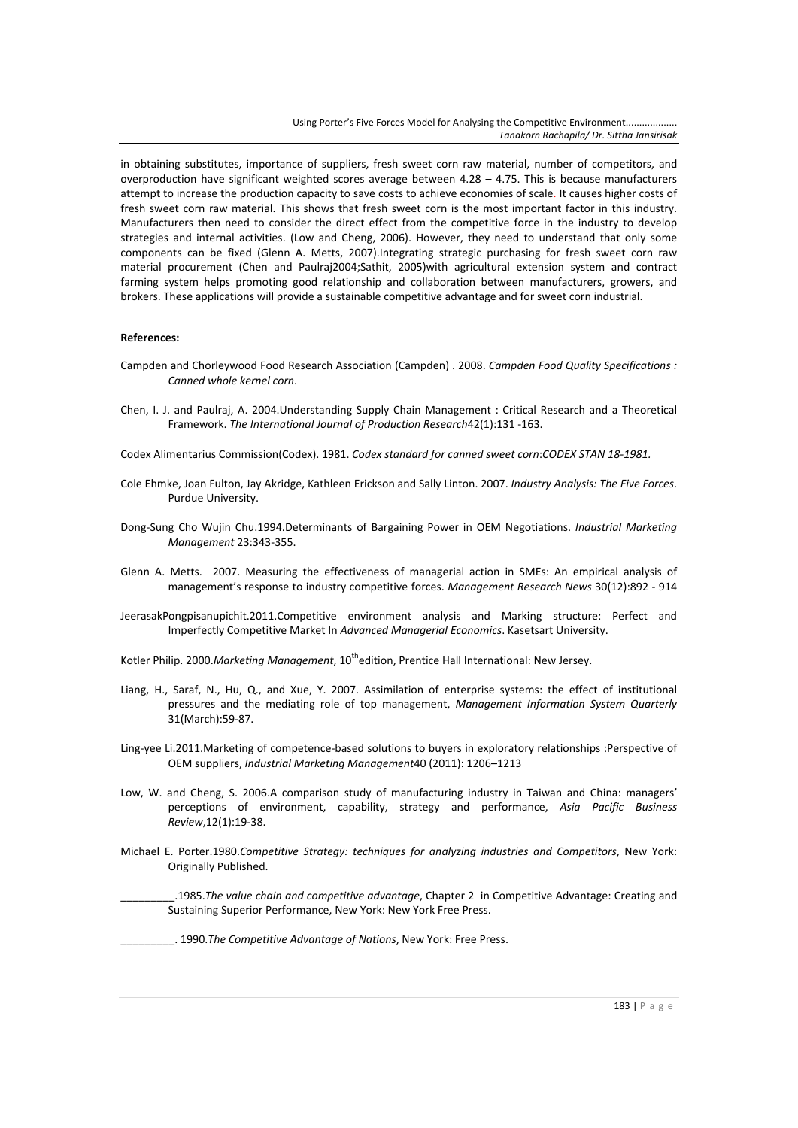in obtaining substitutes, importance of suppliers, fresh sweet corn raw material, number of competitors, and overproduction have significant weighted scores average between 4.28 – 4.75. This is because manufacturers attempt to increase the production capacity to save costs to achieve economies of scale. It causes higher costs of fresh sweet corn raw material. This shows that fresh sweet corn is the most important factor in this industry. Manufacturers then need to consider the direct effect from the competitive force in the industry to develop strategies and internal activities. (Low and Cheng, 2006). However, they need to understand that only some components can be fixed (Glenn A. Metts, 2007).Integrating strategic purchasing for fresh sweet corn raw material procurement (Chen and Paulraj2004;Sathit, 2005)with agricultural extension system and contract farming system helps promoting good relationship and collaboration between manufacturers, growers, and brokers. These applications will provide a sustainable competitive advantage and for sweet corn industrial.

#### **References:**

- Campden and Chorleywood Food Research Association (Campden) . 2008. *Campden Food Quality Specifications : Canned whole kernel corn*.
- Chen, I. J. and Paulraj, A. 2004.Understanding Supply Chain Management : Critical Research and a Theoretical Framework. *The International Journal of Production Research*42(1):131 -163.
- Codex Alimentarius Commission(Codex). 1981. *Codex standard for canned sweet corn*:*CODEX STAN 18-1981.*
- Cole Ehmke, Joan Fulton, Jay Akridge, Kathleen Erickson and Sally Linton. 2007. *Industry Analysis: The Five Forces*. Purdue University.
- Dong-Sung Cho Wujin Chu.1994.Determinants of Bargaining Power in OEM Negotiations. *Industrial Marketing Management* 23:343-355.
- Glenn A. Metts. 2007. Measuring the effectiveness of managerial action in SMEs: An empirical analysis of management's response to industry competitive forces. *Management Research News* 30(12):892 - 914
- JeerasakPongpisanupichit.2011.Competitive environment analysis and Marking structure: Perfect and Imperfectly Competitive Market In *Advanced Managerial Economics*. Kasetsart University.
- Kotler Philip. 2000. Marketing Management, 10<sup>th</sup>edition, Prentice Hall International: New Jersey.
- Liang, H., Saraf, N., Hu, Q., and Xue, Y. 2007. Assimilation of enterprise systems: the effect of institutional pressures and the mediating role of top management, *Management Information System Quarterly* 31(March):59-87.
- Ling-yee Li.2011.Marketing of competence-based solutions to buyers in exploratory relationships :Perspective of OEM suppliers, *Industrial Marketing Management*40 (2011): 1206–1213
- Low, W. and Cheng, S. 2006.A comparison study of manufacturing industry in Taiwan and China: managers' perceptions of environment, capability, strategy and performance, *Asia Pacific Business Review*,12(1):19-38.
- Michael E. Porter.1980.*Competitive Strategy: techniques for analyzing industries and Competitors*, New York: Originally Published.

\_\_\_\_\_\_\_\_\_.1985.*The value chain and competitive advantage*, Chapter 2 in Competitive Advantage: Creating and Sustaining Superior Performance, New York: New York Free Press.

\_\_\_\_\_\_\_\_\_. 1990.*The Competitive Advantage of Nations*, New York: Free Press.